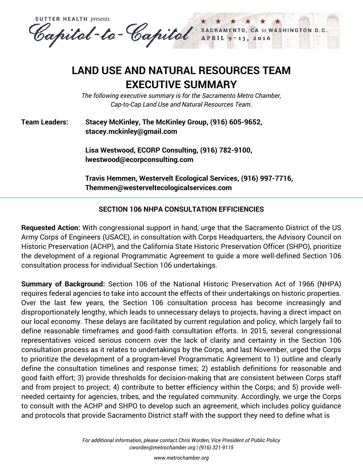**SUTTER HEALTH presents** Capital-to-Capital SACRAMENTO, CA to WASHINGTON D.C. APRIL<sub>9</sub>

# **LAND USE AND NATURAL RESOURCES TEAM EXECUTIVE SUMMARY**

*The following executive summary is for the Sacramento Metro Chamber, Cap-to-Cap Land Use and Natural Resources Team.*

### **Team Leaders: Stacey McKinley, The McKinley Group, (916) 605-9652, stacey.mckinley@gmail.com**

**Lisa Westwood, ECORP Consulting, (916) 782-9100, lwestwood@ecorpconsulting.com**

**Travis Hemmen, Westervelt Ecological Services, (916) 997-7716, Themmen@westerveltecologicalservices.com**

### **SECTION 106 NHPA CONSULTATION EFFICIENCIES**

**Requested Action:** With congressional support in hand, urge that the Sacramento District of the US Army Corps of Engineers (USACE), in consultation with Corps Headquarters, the Advisory Council on Historic Preservation (ACHP), and the California State Historic Preservation Officer (SHPO), prioritize the development of a regional Programmatic Agreement to guide a more well-defined Section 106 consultation process for individual Section 106 undertakings.

**Summary of Background:** Section 106 of the [National Historic Preservation Act of 1966 \(NHPA\)](http://www.achp.gov/nhpa.html) requires federal agencies to take into account the effects of their undertakings on historic properties. Over the last few years, the Section 106 consultation process has become increasingly and disproportionately lengthy, which leads to unnecessary delays to projects, having a direct impact on our local economy. These delays are facilitated by current regulation and policy, which largely fail to define reasonable timeframes and good-faith consultation efforts. In 2015, several congressional representatives voiced serious concern over the lack of clarity and certainty in the Section 106 consultation process as it relates to undertakings by the Corps, and last November, urged the Corps to prioritize the development of a program-level Programmatic Agreement to 1) outline and clearly define the consultation timelines and response times; 2) establish definitions for reasonable and good faith effort; 3) provide thresholds for decision-making that are consistent between Corps staff and from project to project; 4) contribute to better efficiency within the Corps; and 5) provide wellneeded certainty for agencies, tribes, and the regulated community. Accordingly, we urge the Corps to consult with the ACHP and SHPO to develop such an agreement, which includes policy guidance and protocols that provide Sacramento District staff with the support they need to define what is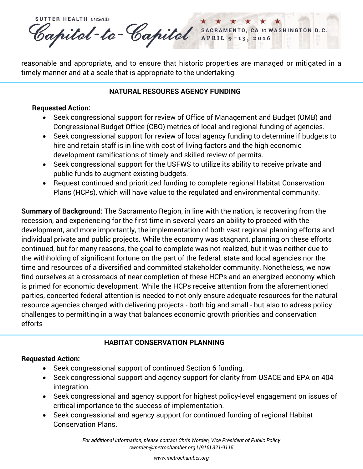

reasonable and appropriate, and to ensure that historic properties are managed or mitigated in a timely manner and at a scale that is appropriate to the undertaking.

### **NATURAL RESOURES AGENCY FUNDING**

#### **Requested Action:**

- Seek congressional support for review of Office of Management and Budget (OMB) and Congressional Budget Office (CBO) metrics of local and regional funding of agencies.
- Seek congressional support for review of local agency funding to determine if budgets to hire and retain staff is in line with cost of living factors and the high economic development ramifications of timely and skilled review of permits.
- Seek congressional support for the USFWS to utilize its ability to receive private and public funds to augment existing budgets.
- Request continued and prioritized funding to complete regional Habitat Conservation Plans (HCPs), which will have value to the regulated and environmental community.

**Summary of Background:** The Sacramento Region, in line with the nation, is recovering from the recession, and experiencing for the first time in several years an ability to proceed with the development, and more importantly, the implementation of both vast regional planning efforts and individual private and public projects. While the economy was stagnant, planning on these efforts continued, but for many reasons, the goal to complete was not realized, but it was neither due to the withholding of significant fortune on the part of the federal, state and local agencies nor the time and resources of a diversified and committed stakeholder community. Nonetheless, we now find ourselves at a crossroads of near completion of these HCPs and an energized economy which is primed for economic development. While the HCPs receive attention from the aforementioned parties, concerted federal attention is needed to not only ensure adequate resources for the natural resource agencies charged with delivering projects - both big and small - but also to adress policy challenges to permitting in a way that balances economic growth priorities and conservation efforts

## **HABITAT CONSERVATION PLANNING**

## **Requested Action:**

- Seek congressional support of continued Section 6 funding.
- Seek congressional support and agency support for clarity from USACE and EPA on 404 integration.
- Seek congressional and agency support for highest policy-level engagement on issues of critical importance to the success of implementation.
- Seek congressional and agency support for continued funding of regional Habitat Conservation Plans.

*For additional information, please contact Chris Worden, Vice President of Public Policy [cworden@metrochamber.org](mailto:cworden@metrochamber.org) | (916) 321-9115*

*[www.metrochamber.org](http://www.metrochamber.org/)*